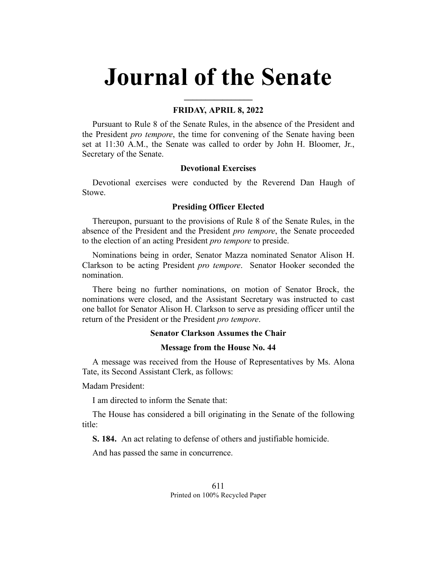# **Journal of the Senate**

# **FRIDAY, APRIL 8, 2022**

**\_\_\_\_\_\_\_\_\_\_\_\_\_\_\_\_**

Pursuant to Rule 8 of the Senate Rules, in the absence of the President and the President *pro tempore*, the time for convening of the Senate having been set at 11:30 A.M., the Senate was called to order by John H. Bloomer, Jr., Secretary of the Senate.

## **Devotional Exercises**

Devotional exercises were conducted by the Reverend Dan Haugh of Stowe.

## **Presiding Officer Elected**

Thereupon, pursuant to the provisions of Rule 8 of the Senate Rules, in the absence of the President and the President *pro tempore*, the Senate proceeded to the election of an acting President *pro tempore* to preside.

Nominations being in order, Senator Mazza nominated Senator Alison H. Clarkson to be acting President *pro tempore*. Senator Hooker seconded the nomination.

There being no further nominations, on motion of Senator Brock, the nominations were closed, and the Assistant Secretary was instructed to cast one ballot for Senator Alison H. Clarkson to serve as presiding officer until the return of the President or the President *pro tempore*.

## **Senator Clarkson Assumes the Chair**

## **Message from the House No. 44**

A message was received from the House of Representatives by Ms. Alona Tate, its Second Assistant Clerk, as follows:

Madam President:

I am directed to inform the Senate that:

The House has considered a bill originating in the Senate of the following title:

**S. 184.** An act relating to defense of others and justifiable homicide.

And has passed the same in concurrence.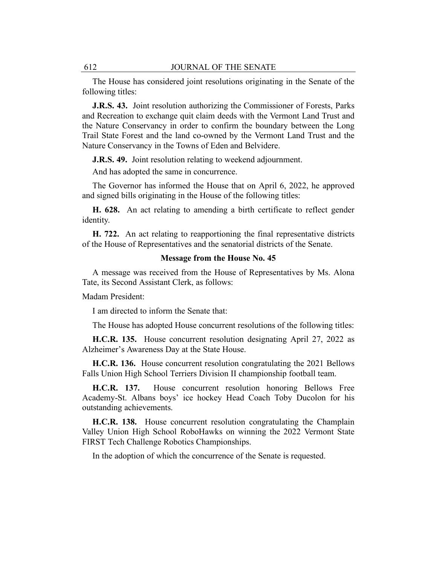The House has considered joint resolutions originating in the Senate of the following titles:

**J.R.S. 43.** Joint resolution authorizing the Commissioner of Forests, Parks and Recreation to exchange quit claim deeds with the Vermont Land Trust and the Nature Conservancy in order to confirm the boundary between the Long Trail State Forest and the land co-owned by the Vermont Land Trust and the Nature Conservancy in the Towns of Eden and Belvidere.

**J.R.S. 49.** Joint resolution relating to weekend adjournment.

And has adopted the same in concurrence.

The Governor has informed the House that on April 6, 2022, he approved and signed bills originating in the House of the following titles:

**H. 628.** An act relating to amending a birth certificate to reflect gender identity.

**H. 722.** An act relating to reapportioning the final representative districts of the House of Representatives and the senatorial districts of the Senate.

#### **Message from the House No. 45**

A message was received from the House of Representatives by Ms. Alona Tate, its Second Assistant Clerk, as follows:

Madam President:

I am directed to inform the Senate that:

The House has adopted House concurrent resolutions of the following titles:

**H.C.R. 135.** House concurrent resolution designating April 27, 2022 as Alzheimer's Awareness Day at the State House.

**H.C.R. 136.** House concurrent resolution congratulating the 2021 Bellows Falls Union High School Terriers Division II championship football team.

**H.C.R. 137.** House concurrent resolution honoring Bellows Free Academy-St. Albans boys' ice hockey Head Coach Toby Ducolon for his outstanding achievements.

**H.C.R. 138.** House concurrent resolution congratulating the Champlain Valley Union High School RoboHawks on winning the 2022 Vermont State FIRST Tech Challenge Robotics Championships.

In the adoption of which the concurrence of the Senate is requested.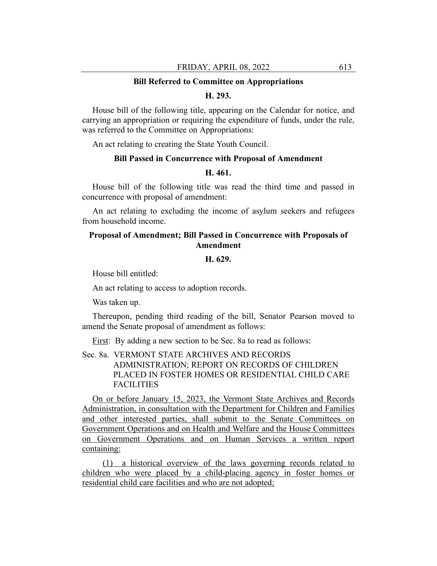#### **Bill Referred to Committee on Appropriations**

## **H. 293.**

House bill of the following title, appearing on the Calendar for notice, and carrying an appropriation or requiring the expenditure of funds, under the rule, was referred to the Committee on Appropriations:

An act relating to creating the State Youth Council.

## **Bill Passed in Concurrence with Proposal of Amendment**

## **H. 461.**

House bill of the following title was read the third time and passed in concurrence with proposal of amendment:

An act relating to excluding the income of asylum seekers and refugees from household income.

# **Proposal of Amendment; Bill Passed in Concurrence with Proposals of Amendment**

# **H. 629.**

House bill entitled:

An act relating to access to adoption records.

Was taken up.

Thereupon, pending third reading of the bill, Senator Pearson moved to amend the Senate proposal of amendment as follows:

First: By adding a new section to be Sec. 8a to read as follows:

Sec. 8a. VERMONT STATE ARCHIVES AND RECORDS ADMINISTRATION; REPORT ON RECORDS OF CHILDREN PLACED IN FOSTER HOMES OR RESIDENTIAL CHILD CARE FACILITIES

On or before January 15, 2023, the Vermont State Archives and Records Administration, in consultation with the Department for Children and Families and other interested parties, shall submit to the Senate Committees on Government Operations and on Health and Welfare and the House Committees on Government Operations and on Human Services a written report containing:

(1) a historical overview of the laws governing records related to children who were placed by a child-placing agency in foster homes or residential child care facilities and who are not adopted;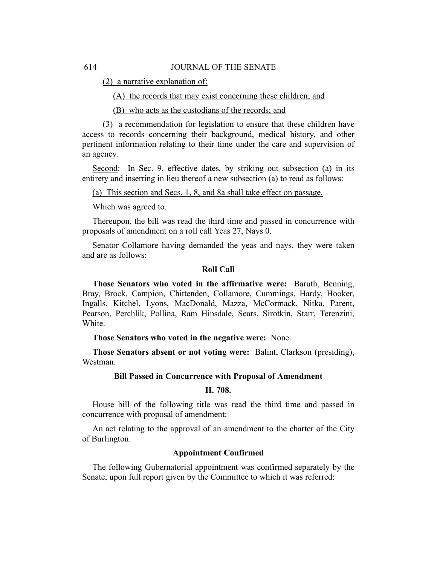(2) a narrative explanation of:

(A) the records that may exist concerning these children; and

(B) who acts as the custodians of the records; and

(3) a recommendation for legislation to ensure that these children have access to records concerning their background, medical history, and other pertinent information relating to their time under the care and supervision of an agency.

Second: In Sec. 9, effective dates, by striking out subsection (a) in its entirety and inserting in lieu thereof a new subsection (a) to read as follows:

(a) This section and Secs. 1, 8, and 8a shall take effect on passage.

Which was agreed to.

Thereupon, the bill was read the third time and passed in concurrence with proposals of amendment on a roll call Yeas 27, Nays 0.

Senator Collamore having demanded the yeas and nays, they were taken and are as follows:

## **Roll Call**

**Those Senators who voted in the affirmative were:** Baruth, Benning, Bray, Brock, Campion, Chittenden, Collamore, Cummings, Hardy, Hooker, Ingalls, Kitchel, Lyons, MacDonald, Mazza, McCormack, Nitka, Parent, Pearson, Perchlik, Pollina, Ram Hinsdale, Sears, Sirotkin, Starr, Terenzini, White.

**Those Senators who voted in the negative were:** None.

**Those Senators absent or not voting were:** Balint, Clarkson (presiding), Westman.

## **Bill Passed in Concurrence with Proposal of Amendment**

## **H. 708.**

House bill of the following title was read the third time and passed in concurrence with proposal of amendment:

An act relating to the approval of an amendment to the charter of the City of Burlington.

## **Appointment Confirmed**

The following Gubernatorial appointment was confirmed separately by the Senate, upon full report given by the Committee to which it was referred: